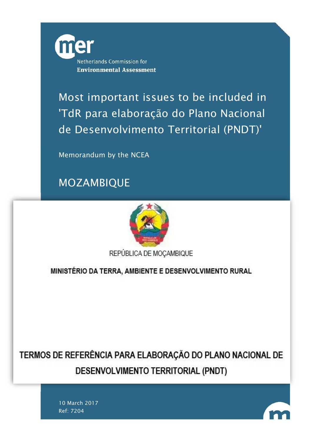

Most important issues to be included in 'TdR para elaboração do Plano Nacional de Desenvolvimento Territorial (PNDT)'

Memorandum by the NCEA

MOZAMBIQUE



REPÚBLICA DE MOÇAMBIQUE

MINISTÉRIO DA TERRA, AMBIENTE E DESENVOLVIMENTO RURAL

TERMOS DE REFERÊNCIA PARA ELABORAÇÃO DO PLANO NACIONAL DE DESENVOLVIMENTO TERRITORIAL (PNDT)

> 10 March 2017 Ref: 7204

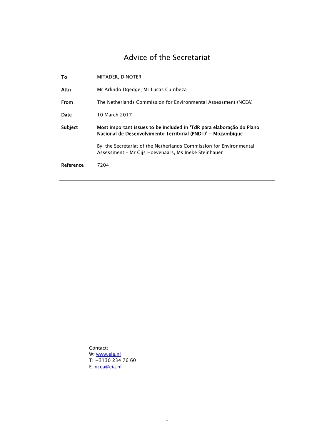## Advice of the Secretariat

| То      | MITADER, DINOTER                                                                                                                      |
|---------|---------------------------------------------------------------------------------------------------------------------------------------|
| Attn    | Mr Arlindo Dgedge, Mr Lucas Cumbeza                                                                                                   |
| From    | The Netherlands Commission for Environmental Assessment (NCEA)                                                                        |
| Date    | 10 March 2017                                                                                                                         |
|         |                                                                                                                                       |
| Subject | Most important issues to be included in 'TdR para elaboração do Plano<br>Nacional de Desenvolvimento Territorial (PNDT)' - Mozambique |
|         | By: the Secretariat of the Netherlands Commission for Environmental<br>Assessment - Mr Gijs Hoevenaars, Ms Ineke Steinhauer           |

-

Contact: W: <u>www.eia.nl</u> T: +3130 234 76 60 E: ncea@eia.nl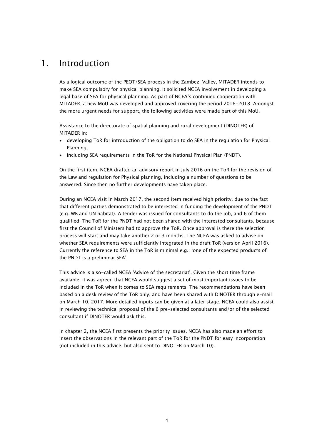## 1. Introduction

As a logical outcome of the PEOT/SEA process in the Zambezi Valley, MITADER intends to make SEA compulsory for physical planning. It solicited NCEA involvement in developing a legal base of SEA for physical planning. As part of NCEA's continued cooperation with MITADER, a new MoU was developed and approved covering the period 2016-2018. Amongst the more urgent needs for support, the following activities were made part of this MoU.

Assistance to the directorate of spatial planning and rural development (DINOTER) of MITADER in:

- developing ToR for introduction of the obligation to do SEA in the regulation for Physical Planning;
- including SEA requirements in the ToR for the National Physical Plan (PNDT).

On the first item, NCEA drafted an advisory report in July 2016 on the ToR for the revision of the Law and regulation for Physical planning, including a number of questions to be answered. Since then no further developments have taken place.

During an NCEA visit in March 2017, the second item received high priority, due to the fact that different parties demonstrated to be interested in funding the development of the PNDT (e.g. WB and UN habitat). A tender was issued for consultants to do the job, and 6 of them qualified. The ToR for the PNDT had not been shared with the interested consultants, because first the Council of Ministers had to approve the ToR. Once approval is there the selection process will start and may take another 2 or 3 months. The NCEA was asked to advise on whether SEA requirements were sufficiently integrated in the draft ToR (version April 2016). Currently the reference to SEA in the ToR is minimal e.g.: 'one of the expected products of the PNDT is a preliminar SEA'.

This advice is a so-called NCEA 'Advice of the secretariat'. Given the short time frame available, it was agreed that NCEA would suggest a set of most important issues to be included in the ToR when it comes to SEA requirements. The recommendations have been based on a desk review of the ToR only, and have been shared with DINOTER through e-mail on March 10, 2017. More detailed inputs can be given at a later stage. NCEA could also assist in reviewing the technical proposal of the 6 pre-selected consultants and/or of the selected consultant if DINOTER would ask this.

In chapter 2, the NCEA first presents the priority issues. NCEA has also made an effort to insert the observations in the relevant part of the ToR for the PNDT for easy incorporation (not included in this advice, but also sent to DINOTER on March 10).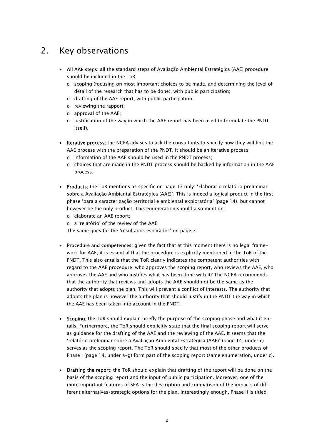## 2. Key observations

- All AAE steps: all the standard steps of Avaliação Ambiental Estratégica (AAE) procedure should be included in the ToR:
	- $\circ$  scoping (focusing on most important choices to be made, and determining the level of detail of the research that has to be done), with public participation;
	- o drafting of the AAE report, with public participation;
	- o reviewing the rapport;
	- o approval of the AAE;
	- $\circ$  justification of the way in which the AAE report has been used to formulate the PNDT itself).
- Iterative process: the NCEA advises to ask the consultants to specify how they will link the AAE process with the preparation of the PNDT. It should be an iterative process:
	- o information of the AAE should be used in the PNDT process;
	- $\circ$  choices that are made in the PNDT process should be backed by information in the AAE process.
- Products: the ToR mentions as specific on page 13 only: 'Elaborar o relatório preliminar sobre a Avaliação Ambiental Estratégica (AAE)'. This is indeed a logical product in the first phase 'para a caracterização territorial e ambiental exploratória' (page 14), but cannot however be the only product. This enumeration should also mention:
	- o elaborate an AAE report;
	- o a 'relatório' of the review of the AAE.

The same goes for the 'resultados esparados' on page 7.

- Procedure and competences: given the fact that at this moment there is no legal framework for AAE, it is essential that the procedure is explicitly mentioned in the ToR of the PNDT. This also entails that the ToR clearly indicates the competent authorities with regard to the AAE procedure: who approves the scoping report, who reviews the AAE, who approves the AAE and who justifies what has been done with it? The NCEA recommends that the authority that reviews and adopts the AAE should not be the same as the authority that adopts the plan. This will prevent a conflict of interests. The authority that adopts the plan is however the authority that should justify in the PNDT the way in which the AAE has been taken into account in the PNDT.
- Scoping: the ToR should explain briefly the purpose of the scoping phase and what it entails. Furthermore, the ToR should explicitly state that the final scoping report will serve as guidance for the drafting of the AAE and the reviewing of the AAE. It seems that the 'relatório preliminar sobre a Avaliação Ambiental Estratégica (AAE)' (page 14, under c) serves as the scoping report. The ToR should specify that most of the other products of Phase I (page 14, under a-g) form part of the scoping report (same enumeration, under c).
- Drafting the report: the ToR should explain that drafting of the report will be done on the basis of the scoping report and the input of public participation. Moreover, one of the more important features of SEA is the description and comparison of the impacts of different alternatives/strategic options for the plan. Interestingly enough, Phase II is titled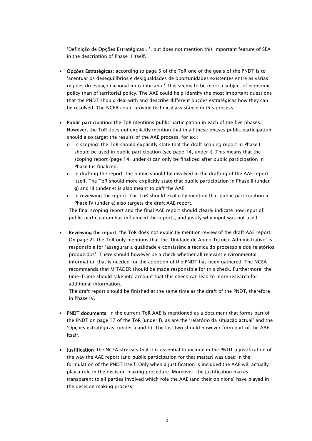'Definição de Opções Estratégicas…', but does not mention this important feature of SEA in the description of Phase II itself.

- Opções Estratégicas: according to page 5 of the ToR one of the goals of the PNDT is to 'acentuar os desequilíbrios e desigualdades de oportunidades existentes entre as várias regiões do espaço nacional moçambicano.' This seems to be more a subject of economic policy than of territorial policy. The AAE could help identify the most important questions that the PNDT should deal with and describe different opções estratégicas how they can be resolved. The NCEA could provide technical assistance in this process.
- Public participation: the ToR mentions public participation in each of the five phases. However, the ToR does not explicitly mention that in all these phases public participation should also target the results of the AAE process, for ex.:
	- $\circ$  In scoping: the ToR should explicitly state that the draft scoping report in Phase I should be used in public participation (see page 14, under i). This means that the scoping report (page 14, under c) can only be finalized after public participation in Phase I is finalized.
	- $\circ$  In drafting the report: the public should be involved in the drafting of the AAE report itself. The ToR should more explicitly state that public participation in Phase II (under g) and III (under e) is also meant to daft the AAE.
	- o In reviewing the report: The ToR should explicitly mention that public participation in Phase IV (under e) also targets the draft AAE report.

The final scoping report and the final AAE report should clearly indicate how input of public participation has influenced the reports, and justify why input was not used.

 Reviewing the report: the ToR does not explicitly mention review of the draft AAE report. On page 21 the ToR only mentions that the 'Unidade de Apoio Técnico Administrativo' is responsible for 'assegurar a qualidade e consistência técnica do processo e dos relatórios produzidos'. There should however be a check whether all relevant environmental information that is needed for the adoption of the PNDT has been gathered. The NCEA recommends that MITADER should be made responsible for this check. Furthermore, the time-frame should take into account that this check can lead to more research for additional information.

The draft report should be finished at the same time as the draft of the PNDT, therefore in Phase IV.

- PNDT documents: in the current ToR AAE is mentioned as a document that forms part of the PNDT on page 17 of the ToR (under f), as are the 'relatório da situação actual' and the 'Opções estratégicas' (under a and b). The last two should however form part of the AAE itself.
- Justification: the NCEA stresses that it is essential to include in the PNDT a justification of the way the AAE report (and public participation for that matter) was used in the formulation of the PNDT itself. Only when a justification is included the AAE will actually play a role in the decision making procedure. Moreover, the justification makes transparent to all parties involved which role the AAE (and their opinions) have played in the decision making process.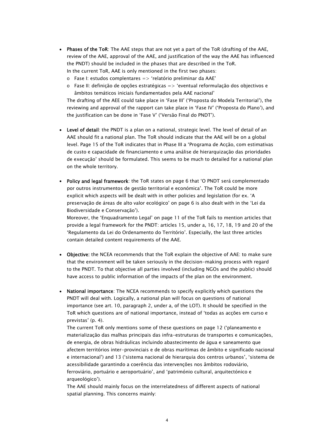- Phases of the ToR: The AAE steps that are not yet a part of the ToR (drafting of the AAE, review of the AAE, approval of the AAE, and justification of the way the AAE has influenced the PNDT) should be included in the phases that are described in the ToR. In the current ToR, AAE is only mentioned in the first two phases:
	- $\circ$  Fase I: estudos complentares => 'relatório preliminar da AAE'
	- $\circ$  Fase II: definição de opções estratégicas  $\circ$  'eventual reformulação dos objectivos e âmbitos temáticos iniciais fundamentados pela AAE nacional'

The drafting of the AEE could take place in 'Fase III' ('Proposta do Modela Territorial'), the reviewing and approval of the rapport can take place in 'Fase IV' ('Proposta do Plano'), and the justification can be done in 'Fase V' ('Versão Final do PNDT').

- Level of detail: the PNDT is a plan on a national, strategic level. The level of detail of an AAE should fit a national plan. The ToR should indicate that the AAE will be on a global level. Page 15 of the ToR indicates that in Phase III a 'Programa de Acção, com estimativas de custo e capacidade de financiamento e uma análise de hierarquização das prioridades de execução' should be formulated. This seems to be much to detailed for a national plan on the whole territory.
- Policy and legal framework: the ToR states on page 6 that 'O PNDT será complementado por outros instrumentos de gestão territorial e económica'. The ToR could be more explicit which aspects will be dealt with in other policies and legislation (for ex. 'A preservação de áreas de alto valor ecológico' on page 6 is also dealt with in the 'Lei da Biodiversidade e Conservação').

Moreover, the 'Enquadramento Legal' on page 11 of the ToR fails to mention articles that provide a legal framework for the PNDT: articles 15, under a, 16, 17, 18, 19 and 20 of the 'Regulamento da Lei do Ordenamento do Território'. Especially, the last three articles contain detailed content requirements of the AAE.

- Objective: the NCEA recommends that the ToR explain the objective of AAE: to make sure that the environment will be taken seriously in the decision-making process with regard to the PNDT. To that objective all parties involved (including NGOs and the public) should have access to public information of the impacts of the plan on the environment.
- National importance: The NCEA recommends to specify explicitly which questions the PNDT will deal with. Logically, a national plan will focus on questions of national importance (see art. 10, paragraph 2, under a, of the LOT). It should be specified in the ToR which questions are of national importance, instead of 'todas as acções em curso e previstas' (p. 4).

The current ToR only mentions some of these questions on page 12 ('planeamento e materialização das malhas principais das infra-estruturas de transportes e comunicações, de energia, de obras hidráulicas incluindo abastecimento de água e saneamento que afectem territórios inter-provinciais e de obras marítimas de âmbito e significado nacional e internacional') and 13 ('sistema nacional de hierarquia dos centros urbanos', 'sistema de acessibilidade garantindo a coerência das intervenções nos âmbitos rodoviário, ferroviário, portuário e aeroportuário', and 'património cultural, arquitectónico e arqueológico').

The AAE should mainly focus on the interrelatedness of different aspects of national spatial planning. This concerns mainly: